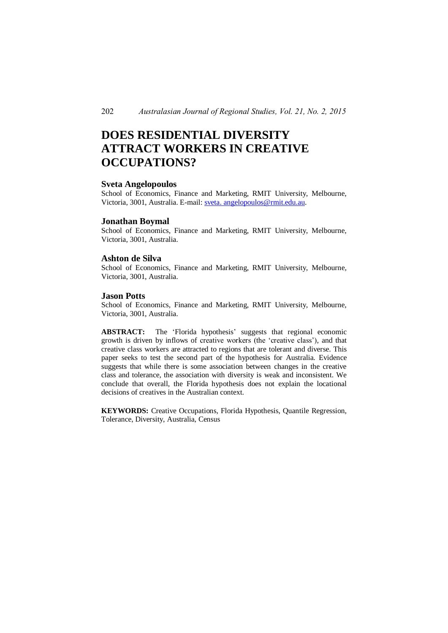# **DOES RESIDENTIAL DIVERSITY ATTRACT WORKERS IN CREATIVE OCCUPATIONS?**

#### **Sveta Angelopoulos**

School of Economics, Finance and Marketing, RMIT University, Melbourne, Victoria, 3001, Australia. E-mail: sveta. angelopoulos@rmit.edu.au.

#### **Jonathan Boymal**

School of Economics, Finance and Marketing, RMIT University, Melbourne, Victoria, 3001, Australia.

### **Ashton de Silva**

School of Economics, Finance and Marketing, RMIT University, Melbourne, Victoria, 3001, Australia.

## **Jason Potts**

School of Economics, Finance and Marketing, RMIT University, Melbourne, Victoria, 3001, Australia.

**ABSTRACT:** The 'Florida hypothesis' suggests that regional economic growth is driven by inflows of creative workers (the 'creative class'), and that creative class workers are attracted to regions that are tolerant and diverse. This paper seeks to test the second part of the hypothesis for Australia. Evidence suggests that while there is some association between changes in the creative class and tolerance, the association with diversity is weak and inconsistent. We conclude that overall, the Florida hypothesis does not explain the locational decisions of creatives in the Australian context.

**KEYWORDS:** Creative Occupations, Florida Hypothesis, Quantile Regression, Tolerance, Diversity, Australia, Census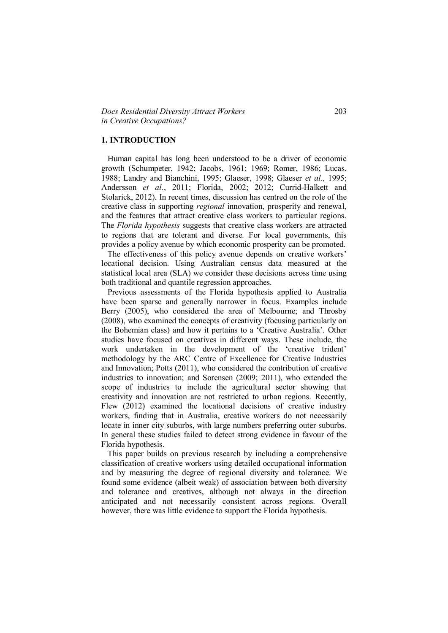#### **1. INTRODUCTION**

 Human capital has long been understood to be a driver of economic growth (Schumpeter, 1942; Jacobs, 1961; 1969; Romer, 1986; Lucas, 1988; Landry and Bianchini, 1995; Glaeser, 1998; Glaeser *et al.*, 1995; Andersson *et al.*, 2011; Florida, 2002; 2012; Currid-Halkett and Stolarick, 2012). In recent times, discussion has centred on the role of the creative class in supporting *regional* innovation, prosperity and renewal, and the features that attract creative class workers to particular regions. The *Florida hypothesis* suggests that creative class workers are attracted to regions that are tolerant and diverse. For local governments, this provides a policy avenue by which economic prosperity can be promoted.

 The effectiveness of this policy avenue depends on creative workers' locational decision. Using Australian census data measured at the statistical local area (SLA) we consider these decisions across time using both traditional and quantile regression approaches.

 Previous assessments of the Florida hypothesis applied to Australia have been sparse and generally narrower in focus. Examples include Berry (2005), who considered the area of Melbourne; and Throsby (2008), who examined the concepts of creativity (focusing particularly on the Bohemian class) and how it pertains to a 'Creative Australia'. Other studies have focused on creatives in different ways. These include, the work undertaken in the development of the 'creative trident' methodology by the ARC Centre of Excellence for Creative Industries and Innovation; Potts (2011), who considered the contribution of creative industries to innovation; and Sorensen (2009; 2011), who extended the scope of industries to include the agricultural sector showing that creativity and innovation are not restricted to urban regions. Recently, Flew (2012) examined the locational decisions of creative industry workers, finding that in Australia, creative workers do not necessarily locate in inner city suburbs, with large numbers preferring outer suburbs. In general these studies failed to detect strong evidence in favour of the Florida hypothesis.

 This paper builds on previous research by including a comprehensive classification of creative workers using detailed occupational information and by measuring the degree of regional diversity and tolerance. We found some evidence (albeit weak) of association between both diversity and tolerance and creatives, although not always in the direction anticipated and not necessarily consistent across regions. Overall however, there was little evidence to support the Florida hypothesis.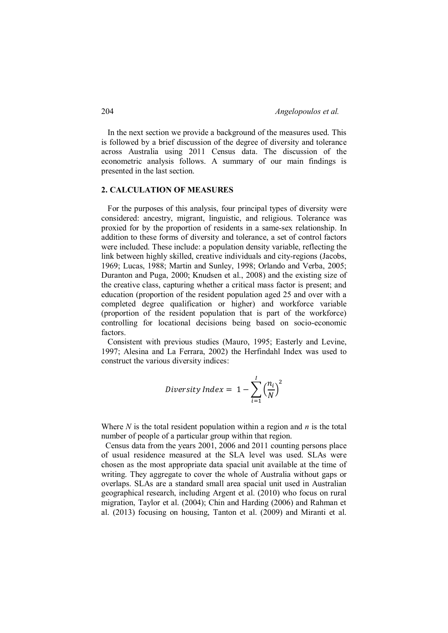In the next section we provide a background of the measures used. This is followed by a brief discussion of the degree of diversity and tolerance across Australia using 2011 Census data. The discussion of the econometric analysis follows. A summary of our main findings is presented in the last section.

#### **2. CALCULATION OF MEASURES**

 For the purposes of this analysis, four principal types of diversity were considered: ancestry, migrant, linguistic, and religious. Tolerance was proxied for by the proportion of residents in a same-sex relationship. In addition to these forms of diversity and tolerance, a set of control factors were included. These include: a population density variable, reflecting the link between highly skilled, creative individuals and city-regions (Jacobs, 1969; Lucas, 1988; Martin and Sunley, 1998; Orlando and Verba, 2005; Duranton and Puga, 2000; Knudsen et al., 2008) and the existing size of the creative class, capturing whether a critical mass factor is present; and education (proportion of the resident population aged 25 and over with a completed degree qualification or higher) and workforce variable (proportion of the resident population that is part of the workforce) controlling for locational decisions being based on socio-economic factors.

 Consistent with previous studies (Mauro, 1995; Easterly and Levine, 1997; Alesina and La Ferrara, 2002) the Herfindahl Index was used to construct the various diversity indices:

$$
Diversity Index = 1 - \sum_{i=1}^{I} \left(\frac{n_i}{N}\right)^2
$$

Where *N* is the total resident population within a region and *n* is the total number of people of a particular group within that region.

 Census data from the years 2001, 2006 and 2011 counting persons place of usual residence measured at the SLA level was used. SLAs were chosen as the most appropriate data spacial unit available at the time of writing. They aggregate to cover the whole of Australia without gaps or overlaps. SLAs are a standard small area spacial unit used in Australian geographical research, including Argent et al. (2010) who focus on rural migration, Taylor et al. (2004); Chin and Harding (2006) and Rahman et al. (2013) focusing on housing, Tanton et al. (2009) and Miranti et al.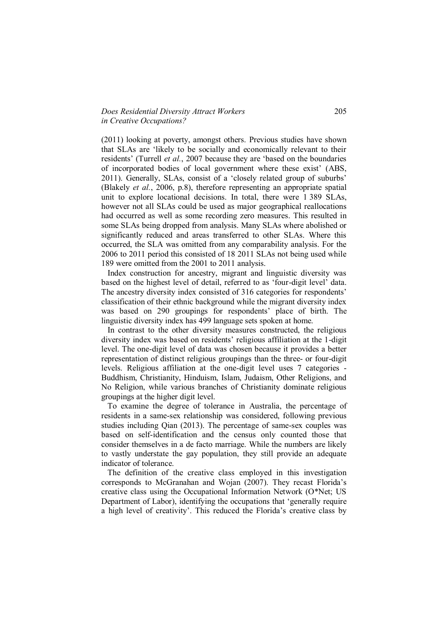## *Does Residential Diversity Attract Workers* 205 *in Creative Occupations?*

(2011) looking at poverty, amongst others. Previous studies have shown that SLAs are 'likely to be socially and economically relevant to their residents' (Turrell *et al.*, 2007 because they are 'based on the boundaries of incorporated bodies of local government where these exist' (ABS, 2011). Generally, SLAs, consist of a 'closely related group of suburbs' (Blakely *et al.*, 2006, p.8), therefore representing an appropriate spatial unit to explore locational decisions. In total, there were 1 389 SLAs, however not all SLAs could be used as major geographical reallocations had occurred as well as some recording zero measures. This resulted in some SLAs being dropped from analysis. Many SLAs where abolished or significantly reduced and areas transferred to other SLAs. Where this occurred, the SLA was omitted from any comparability analysis. For the 2006 to 2011 period this consisted of 18 2011 SLAs not being used while 189 were omitted from the 2001 to 2011 analysis.

 Index construction for ancestry, migrant and linguistic diversity was based on the highest level of detail, referred to as 'four-digit level' data. The ancestry diversity index consisted of 316 categories for respondents' classification of their ethnic background while the migrant diversity index was based on 290 groupings for respondents' place of birth. The linguistic diversity index has 499 language sets spoken at home.

 In contrast to the other diversity measures constructed, the religious diversity index was based on residents' religious affiliation at the 1-digit level. The one-digit level of data was chosen because it provides a better representation of distinct religious groupings than the three- or four-digit levels. Religious affiliation at the one-digit level uses 7 categories - Buddhism, Christianity, Hinduism, Islam, Judaism, Other Religions, and No Religion, while various branches of Christianity dominate religious groupings at the higher digit level.

 To examine the degree of tolerance in Australia, the percentage of residents in a same-sex relationship was considered, following previous studies including Qian (2013). The percentage of same-sex couples was based on self-identification and the census only counted those that consider themselves in a de facto marriage. While the numbers are likely to vastly understate the gay population, they still provide an adequate indicator of tolerance.

 The definition of the creative class employed in this investigation corresponds to McGranahan and Wojan (2007). They recast Florida's creative class using the Occupational Information Network (O\*Net; US Department of Labor), identifying the occupations that 'generally require a high level of creativity'. This reduced the Florida's creative class by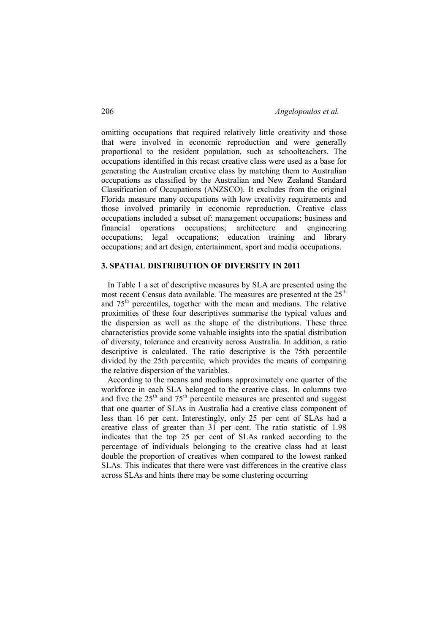omitting occupations that required relatively little creativity and those that were involved in economic reproduction and were generally proportional to the resident population, such as schoolteachers. The occupations identified in this recast creative class were used as a base for generating the Australian creative class by matching them to Australian occupations as classified by the Australian and New Zealand Standard Classification of Occupations (ANZSCO). It excludes from the original Florida measure many occupations with low creativity requirements and those involved primarily in economic reproduction. Creative class occupations included a subset of: management occupations; business and financial operations occupations; architecture and engineering occupations; legal occupations; education training and library occupations; and art design, entertainment, sport and media occupations.

## **3. SPATIAL DISTRIBUTION OF DIVERSITY IN 2011**

 In Table 1 a set of descriptive measures by SLA are presented using the most recent Census data available. The measures are presented at the 25<sup>th</sup> and 75th percentiles, together with the mean and medians. The relative proximities of these four descriptives summarise the typical values and the dispersion as well as the shape of the distributions. These three characteristics provide some valuable insights into the spatial distribution of diversity, tolerance and creativity across Australia. In addition, a ratio descriptive is calculated. The ratio descriptive is the 75th percentile divided by the 25th percentile, which provides the means of comparing the relative dispersion of the variables.

 According to the means and medians approximately one quarter of the workforce in each SLA belonged to the creative class. In columns two and five the  $25<sup>th</sup>$  and  $75<sup>th</sup>$  percentile measures are presented and suggest that one quarter of SLAs in Australia had a creative class component of less than 16 per cent. Interestingly, only 25 per cent of SLAs had a creative class of greater than 31 per cent. The ratio statistic of 1.98 indicates that the top 25 per cent of SLAs ranked according to the percentage of individuals belonging to the creative class had at least double the proportion of creatives when compared to the lowest ranked SLAs. This indicates that there were vast differences in the creative class across SLAs and hints there may be some clustering occurring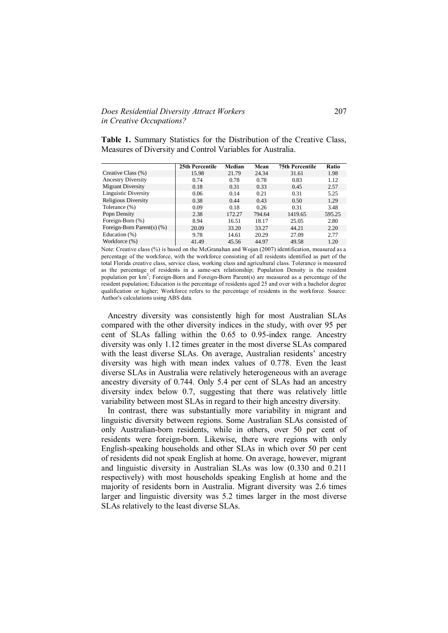## *Does Residential Diversity Attract Workers* 207 *in Creative Occupations?*

**Table 1.** Summary Statistics for the Distribution of the Creative Class, Measures of Diversity and Control Variables for Australia.

|                            | 25th Percentile | Median | Mean   | <b>75th Percentile</b> | Ratio  |
|----------------------------|-----------------|--------|--------|------------------------|--------|
| Creative Class (%)         | 15.98           | 21.79  | 24.34  | 31.61                  | 1.98   |
| <b>Ancestry Diversity</b>  | 0.74            | 0.78   | 0.78   | 0.83                   | 1.12   |
| <b>Migrant Diversity</b>   | 0.18            | 0.31   | 0.33   | 0.45                   | 2.57   |
| Linguistic Diversity       | 0.06            | 0.14   | 0.21   | 0.31                   | 5.25   |
| <b>Religious Diversity</b> | 0.38            | 0.44   | 0.43   | 0.50                   | 1.29   |
| Tolerance (%)              | 0.09            | 0.18   | 0.26   | 0.31                   | 3.48   |
| Popn Density               | 2.38            | 172.27 | 794.64 | 1419.65                | 595.25 |
| Foreign-Born (%)           | 8.94            | 16.51  | 18.17  | 25.05                  | 2.80   |
| Foreign-Born Parent(s) (%) | 20.09           | 33.20  | 33.27  | 44.21                  | 2.20   |
| Education (%)              | 9.78            | 14.61  | 20.29  | 27.09                  | 2.77   |
| Workforce (%)              | 41.49           | 45.56  | 44.97  | 49.58                  | 1.20   |

Note: Creative class (%) is based on the McGranahan and Wojan (2007) identification, measured as a percentage of the workforce, with the workforce consisting of all residents identified as part of the total Florida creative class, service class, working class and agricultural class. Tolerance is measured as the percentage of residents in a same-sex relationship; Population Density is the resident population per km<sup>2</sup>; Foreign-Born and Foreign-Born Parent(s) are measured as a percentage of the resident population; Education is the percentage of residents aged 25 and over with a bachelor degree qualification or higher; Workforce refers to the percentage of residents in the workforce. Source: Author's calculations using ABS data.

 Ancestry diversity was consistently high for most Australian SLAs compared with the other diversity indices in the study, with over 95 per cent of SLAs falling within the 0.65 to 0.95-index range. Ancestry diversity was only 1.12 times greater in the most diverse SLAs compared with the least diverse SLAs. On average, Australian residents' ancestry diversity was high with mean index values of 0.778. Even the least diverse SLAs in Australia were relatively heterogeneous with an average ancestry diversity of 0.744. Only 5.4 per cent of SLAs had an ancestry diversity index below 0.7, suggesting that there was relatively little variability between most SLAs in regard to their high ancestry diversity.

 In contrast, there was substantially more variability in migrant and linguistic diversity between regions. Some Australian SLAs consisted of only Australian-born residents, while in others, over 50 per cent of residents were foreign-born. Likewise, there were regions with only English-speaking households and other SLAs in which over 50 per cent of residents did not speak English at home. On average, however, migrant and linguistic diversity in Australian SLAs was low (0.330 and 0.211 respectively) with most households speaking English at home and the majority of residents born in Australia. Migrant diversity was 2.6 times larger and linguistic diversity was 5.2 times larger in the most diverse SLAs relatively to the least diverse SLAs.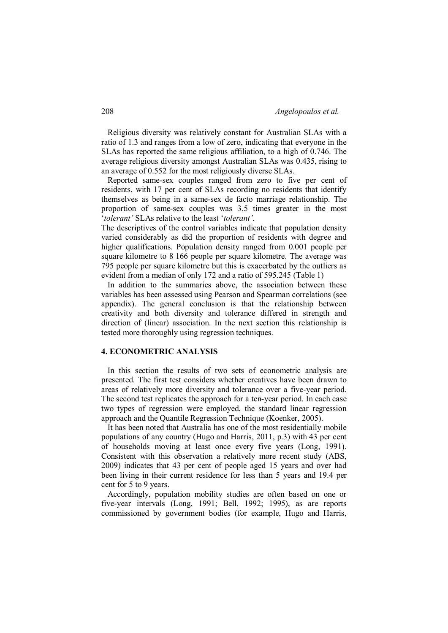Religious diversity was relatively constant for Australian SLAs with a ratio of 1.3 and ranges from a low of zero, indicating that everyone in the SLAs has reported the same religious affiliation, to a high of 0.746. The average religious diversity amongst Australian SLAs was 0.435, rising to an average of 0.552 for the most religiously diverse SLAs.

 Reported same-sex couples ranged from zero to five per cent of residents, with 17 per cent of SLAs recording no residents that identify themselves as being in a same-sex de facto marriage relationship. The proportion of same-sex couples was 3.5 times greater in the most '*tolerant'* SLAs relative to the least '*tolerant'*.

The descriptives of the control variables indicate that population density varied considerably as did the proportion of residents with degree and higher qualifications. Population density ranged from 0.001 people per square kilometre to 8 166 people per square kilometre. The average was 795 people per square kilometre but this is exacerbated by the outliers as evident from a median of only 172 and a ratio of 595.245 (Table 1)

 In addition to the summaries above, the association between these variables has been assessed using Pearson and Spearman correlations (see appendix). The general conclusion is that the relationship between creativity and both diversity and tolerance differed in strength and direction of (linear) association. In the next section this relationship is tested more thoroughly using regression techniques.

## **4. ECONOMETRIC ANALYSIS**

 In this section the results of two sets of econometric analysis are presented. The first test considers whether creatives have been drawn to areas of relatively more diversity and tolerance over a five-year period. The second test replicates the approach for a ten-year period. In each case two types of regression were employed, the standard linear regression approach and the Quantile Regression Technique (Koenker, 2005).

 It has been noted that Australia has one of the most residentially mobile populations of any country (Hugo and Harris, 2011, p.3) with 43 per cent of households moving at least once every five years (Long, 1991). Consistent with this observation a relatively more recent study (ABS, 2009) indicates that 43 per cent of people aged 15 years and over had been living in their current residence for less than 5 years and 19.4 per cent for 5 to 9 years.

 Accordingly, population mobility studies are often based on one or five-year intervals (Long, 1991; Bell, 1992; 1995), as are reports commissioned by government bodies (for example, Hugo and Harris,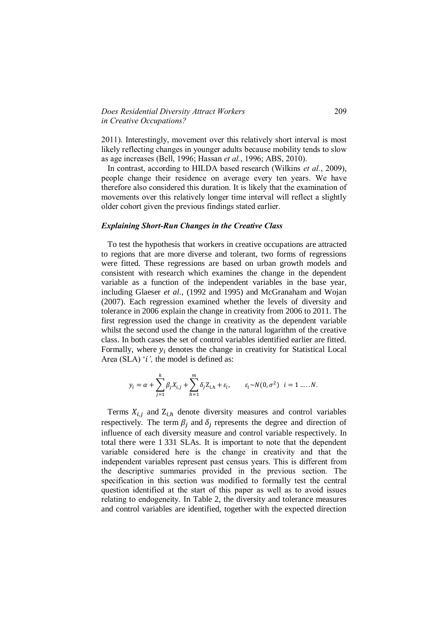## *Does Residential Diversity Attract Workers* 209 *in Creative Occupations?*

2011). Interestingly, movement over this relatively short interval is most likely reflecting changes in younger adults because mobility tends to slow as age increases (Bell, 1996; Hassan *et al.*, 1996; ABS, 2010).

 In contrast, according to HILDA based research (Wilkins *et al.*, 2009), people change their residence on average every ten years. We have therefore also considered this duration. It is likely that the examination of movements over this relatively longer time interval will reflect a slightly older cohort given the previous findings stated earlier.

#### *Explaining Short-Run Changes in the Creative Class*

 To test the hypothesis that workers in creative occupations are attracted to regions that are more diverse and tolerant, two forms of regressions were fitted. These regressions are based on urban growth models and consistent with research which examines the change in the dependent variable as a function of the independent variables in the base year, including Glaeser *et al.*, (1992 and 1995) and McGranaham and Wojan (2007). Each regression examined whether the levels of diversity and tolerance in 2006 explain the change in creativity from 2006 to 2011. The first regression used the change in creativity as the dependent variable whilst the second used the change in the natural logarithm of the creative class. In both cases the set of control variables identified earlier are fitted. Formally, where  $y_i$  denotes the change in creativity for Statistical Local Area (SLA) '*i*', the model is defined as:

$$
y_i = \alpha + \sum_{j=1}^k \beta_j X_{i,j} + \sum_{h=1}^m \delta_j Z_{i,h} + \varepsilon_i, \qquad \varepsilon_i \sim N(0, \sigma^2) \quad i = 1 \dots N.
$$

Terms  $X_{i,j}$  and  $Z_{i,h}$  denote diversity measures and control variables respectively. The term  $\beta_j$  and  $\delta_j$  represents the degree and direction of influence of each diversity measure and control variable respectively. In total there were 1 331 SLAs. It is important to note that the dependent variable considered here is the change in creativity and that the independent variables represent past census years. This is different from the descriptive summaries provided in the previous section. The specification in this section was modified to formally test the central question identified at the start of this paper as well as to avoid issues relating to endogeneity. In Table 2, the diversity and tolerance measures and control variables are identified, together with the expected direction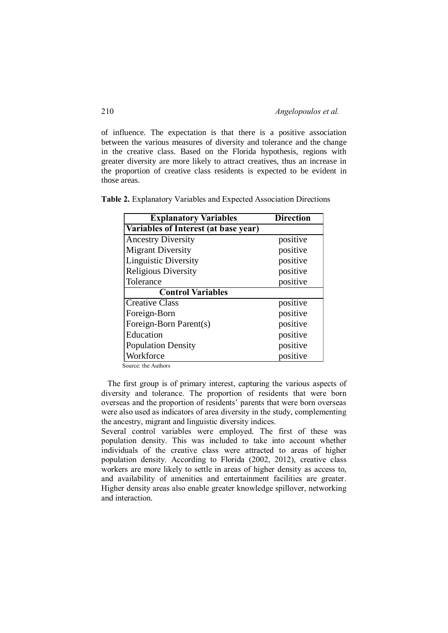of influence. The expectation is that there is a positive association between the various measures of diversity and tolerance and the change in the creative class. Based on the Florida hypothesis, regions with greater diversity are more likely to attract creatives, thus an increase in the proportion of creative class residents is expected to be evident in those areas.

| <b>Explanatory Variables</b>         | <b>Direction</b> |
|--------------------------------------|------------------|
| Variables of Interest (at base year) |                  |
| <b>Ancestry Diversity</b>            | positive         |
| <b>Migrant Diversity</b>             | positive         |
| Linguistic Diversity                 | positive         |
| <b>Religious Diversity</b>           | positive         |
| Tolerance                            | positive         |
| <b>Control Variables</b>             |                  |
| <b>Creative Class</b>                | positive         |
| Foreign-Born                         | positive         |
| Foreign-Born Parent(s)               | positive         |
| Education                            | positive         |
| <b>Population Density</b>            | positive         |
| Workforce                            | positive         |

**Table 2.** Explanatory Variables and Expected Association Directions

Source: the Authors

 The first group is of primary interest, capturing the various aspects of diversity and tolerance. The proportion of residents that were born overseas and the proportion of residents' parents that were born overseas were also used as indicators of area diversity in the study, complementing the ancestry, migrant and linguistic diversity indices.

Several control variables were employed. The first of these was population density. This was included to take into account whether individuals of the creative class were attracted to areas of higher population density. According to Florida (2002, 2012), creative class workers are more likely to settle in areas of higher density as access to, and availability of amenities and entertainment facilities are greater. Higher density areas also enable greater knowledge spillover, networking and interaction.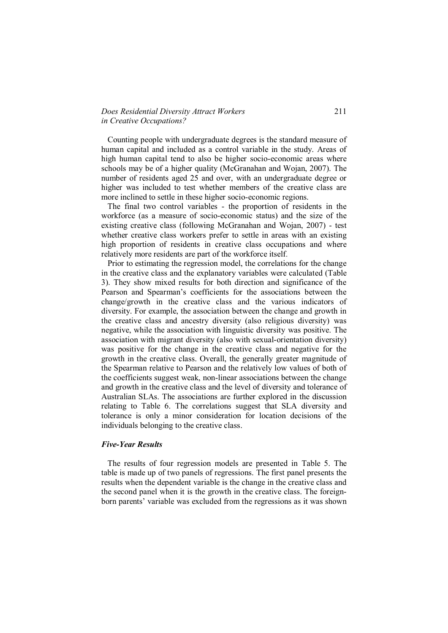## *Does Residential Diversity Attract Workers* 211 *in Creative Occupations?*

 Counting people with undergraduate degrees is the standard measure of human capital and included as a control variable in the study. Areas of high human capital tend to also be higher socio-economic areas where schools may be of a higher quality (McGranahan and Wojan, 2007). The number of residents aged 25 and over, with an undergraduate degree or higher was included to test whether members of the creative class are more inclined to settle in these higher socio-economic regions.

 The final two control variables - the proportion of residents in the workforce (as a measure of socio-economic status) and the size of the existing creative class (following McGranahan and Wojan, 2007) - test whether creative class workers prefer to settle in areas with an existing high proportion of residents in creative class occupations and where relatively more residents are part of the workforce itself*.* 

 Prior to estimating the regression model, the correlations for the change in the creative class and the explanatory variables were calculated (Table 3). They show mixed results for both direction and significance of the Pearson and Spearman's coefficients for the associations between the change/growth in the creative class and the various indicators of diversity. For example, the association between the change and growth in the creative class and ancestry diversity (also religious diversity) was negative, while the association with linguistic diversity was positive. The association with migrant diversity (also with sexual-orientation diversity) was positive for the change in the creative class and negative for the growth in the creative class. Overall, the generally greater magnitude of the Spearman relative to Pearson and the relatively low values of both of the coefficients suggest weak, non-linear associations between the change and growth in the creative class and the level of diversity and tolerance of Australian SLAs. The associations are further explored in the discussion relating to Table 6. The correlations suggest that SLA diversity and tolerance is only a minor consideration for location decisions of the individuals belonging to the creative class.

#### *Five-Year Results*

 The results of four regression models are presented in Table 5. The table is made up of two panels of regressions. The first panel presents the results when the dependent variable is the change in the creative class and the second panel when it is the growth in the creative class. The foreignborn parents' variable was excluded from the regressions as it was shown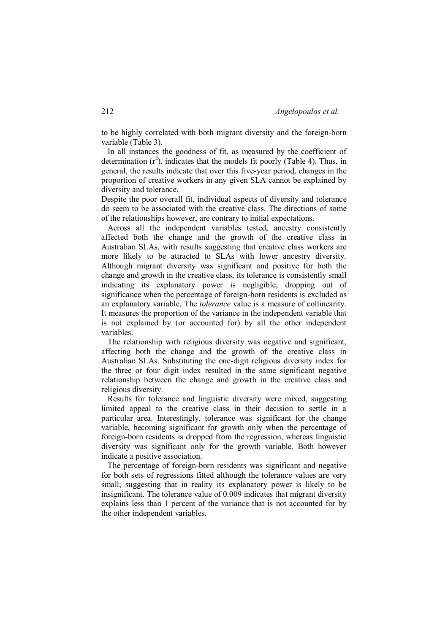to be highly correlated with both migrant diversity and the foreign-born variable (Table 3).

 In all instances the goodness of fit, as measured by the coefficient of determination  $(r^2)$ , indicates that the models fit poorly (Table 4). Thus, in general, the results indicate that over this five-year period, changes in the proportion of creative workers in any given SLA cannot be explained by diversity and tolerance.

Despite the poor overall fit, individual aspects of diversity and tolerance do seem to be associated with the creative class. The directions of some of the relationships however, are contrary to initial expectations.

 Across all the independent variables tested, ancestry consistently affected both the change and the growth of the creative class in Australian SLAs, with results suggesting that creative class workers are more likely to be attracted to SLAs with lower ancestry diversity. Although migrant diversity was significant and positive for both the change and growth in the creative class, its tolerance is consistently small indicating its explanatory power is negligible, dropping out of significance when the percentage of foreign-born residents is excluded as an explanatory variable. The *tolerance* value is a measure of collinearity. It measures the proportion of the variance in the independent variable that is not explained by (or accounted for) by all the other independent variables.

 The relationship with religious diversity was negative and significant, affecting both the change and the growth of the creative class in Australian SLAs. Substituting the one-digit religious diversity index for the three or four digit index resulted in the same significant negative relationship between the change and growth in the creative class and religious diversity.

 Results for tolerance and linguistic diversity were mixed, suggesting limited appeal to the creative class in their decision to settle in a particular area. Interestingly, tolerance was significant for the change variable, becoming significant for growth only when the percentage of foreign-born residents is dropped from the regression, whereas linguistic diversity was significant only for the growth variable. Both however indicate a positive association.

 The percentage of foreign-born residents was significant and negative for both sets of regressions fitted although the tolerance values are very small; suggesting that in reality its explanatory power is likely to be insignificant. The tolerance value of 0.009 indicates that migrant diversity explains less than 1 percent of the variance that is not accounted for by the other independent variables.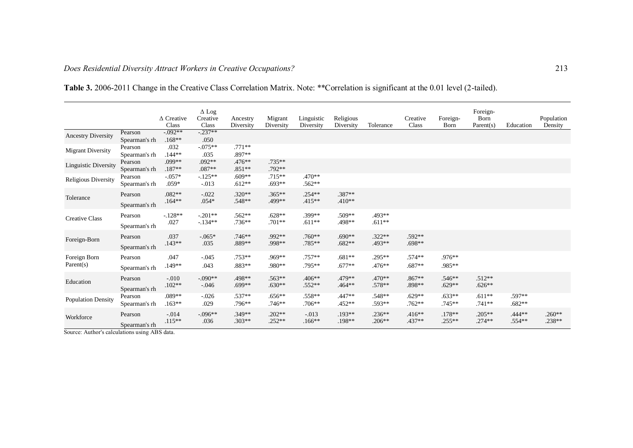|                             |                          | $\triangle$ Creative<br>Class | $\Delta$ Log<br>Creative<br>Class | Ancestry<br>Diversity | Migrant<br>Diversity | Linguistic<br>Diversity | Religious<br>Diversity | Tolerance            | Creative<br>Class    | Foreign-<br><b>B</b> orn | Foreign-<br>Born<br>Parent(s) | Education          | Population<br>Density |
|-----------------------------|--------------------------|-------------------------------|-----------------------------------|-----------------------|----------------------|-------------------------|------------------------|----------------------|----------------------|--------------------------|-------------------------------|--------------------|-----------------------|
| <b>Ancestry Diversity</b>   | Pearson<br>Spearman's rh | $-0.092**$<br>$.168**$        | $-0.237**$<br>.050                |                       |                      |                         |                        |                      |                      |                          |                               |                    |                       |
| <b>Migrant Diversity</b>    | Pearson<br>Spearman's rh | .032<br>$.144**$              | $-0.075**$<br>.035                | $.771**$<br>.897**    |                      |                         |                        |                      |                      |                          |                               |                    |                       |
| <b>Linguistic Diversity</b> | Pearson<br>Spearman's rh | .099**<br>$.187**$            | $.092**$<br>$.087**$              | $.476**$<br>$.851**$  | $.735**$<br>.792**   |                         |                        |                      |                      |                          |                               |                    |                       |
| Religious Diversity         | Pearson<br>Spearman's rh | $-0.057*$<br>$.059*$          | $-125**$<br>$-0.013$              | $.609**$<br>$.612**$  | $.715**$<br>$.693**$ | $.470**$<br>$.562**$    |                        |                      |                      |                          |                               |                    |                       |
| Tolerance                   | Pearson<br>Spearman's rh | $.082**$<br>$.164**$          | $-.022$<br>$.054*$                | $.320**$<br>$.548**$  | $.365**$<br>.499**   | $.254**$<br>$.415**$    | .387**<br>$.410**$     |                      |                      |                          |                               |                    |                       |
| <b>Creative Class</b>       | Pearson<br>Spearman's rh | $-.128**$<br>.027             | $-.201**$<br>$-134**$             | $.562**$<br>$.736**$  | $.628**$<br>$.701**$ | .399**<br>$.611**$      | .509**<br>.498**       | .493**<br>$.611**$   |                      |                          |                               |                    |                       |
| Foreign-Born                | Pearson<br>Spearman's rh | .037<br>$.143**$              | $-.065*$<br>.035                  | $.746**$<br>.889**    | .992**<br>.998**     | $.760**$<br>.785**      | $.690**$<br>$.682**$   | $.322**$<br>.493**   | .592**<br>$.698**$   |                          |                               |                    |                       |
| Foreign Born<br>Parent(s)   | Pearson<br>Spearman's rh | .047<br>$.149**$              | $-.045$<br>.043                   | $.753**$<br>.883**    | .969**<br>.980**     | $.757**$<br>.795**      | $.681**$<br>$.677**$   | $.295**$<br>$.476**$ | $.574**$<br>$.687**$ | .976**<br>.985**         |                               |                    |                       |
| Education                   | Pearson<br>Spearman's rh | $-.010$<br>$.102**$           | $-.090**$<br>$-.046$              | .498**<br>$.699**$    | .563**<br>$.630**$   | $.406**$<br>$.552**$    | .479**<br>$.464**$     | $.470**$<br>$.578**$ | $.867**$<br>.898**   | $.546**$<br>$.629**$     | $.512**$<br>$.626**$          |                    |                       |
| <b>Population Density</b>   | Pearson<br>Spearman's rh | .089**<br>$.163**$            | $-.026$<br>.029                   | $.537**$<br>$.796**$  | $.656**$<br>$.746**$ | .558**<br>$.706**$      | .447**<br>$.452**$     | $.548**$<br>$.593**$ | $.629**$<br>$.762**$ | $.633**$<br>$.745**$     | $.611**$<br>$.741**$          | .597**<br>$.682**$ |                       |
| Workforce                   | Pearson<br>Spearman's rh | $-.014$<br>$.115**$           | $-.096**$<br>.036                 | $.349**$<br>$.303**$  | $.202**$<br>$.252**$ | $-0.013$<br>$.166**$    | $.193**$<br>.198**     | $.236**$<br>$.206**$ | $.416**$<br>.437**   | $.178**$<br>$.255**$     | $.205**$<br>$.274**$          | .444**<br>$.554**$ | $.260**$<br>.238**    |

**Table 3.** 2006-2011 Change in the Creative Class Correlation Matrix. Note: \*\*Correlation is significant at the 0.01 level (2-tailed).

Source: Author's calculations using ABS data.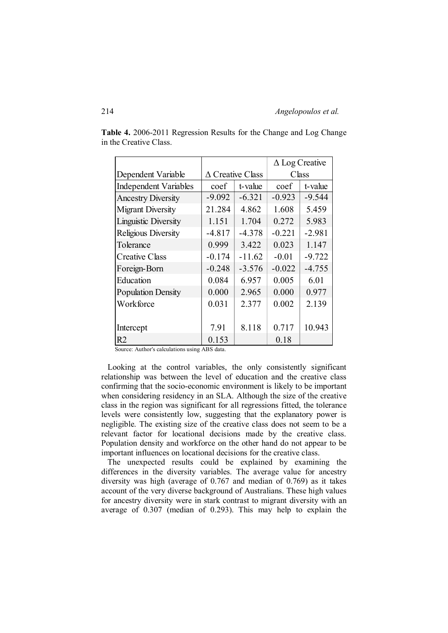|                             |                         |          | $\Delta$ Log Creative |          |  |  |
|-----------------------------|-------------------------|----------|-----------------------|----------|--|--|
| Dependent Variable          | $\Delta$ Creative Class |          | Class                 |          |  |  |
| Independent Variables       | coef                    | t-value  | coef                  | t-value  |  |  |
| <b>Ancestry Diversity</b>   | $-9.092$                | $-6.321$ | $-0.923$              | $-9.544$ |  |  |
| <b>Migrant Diversity</b>    | 21.284                  | 4.862    | 1.608                 | 5.459    |  |  |
| <b>Linguistic Diversity</b> | 1.151                   | 1.704    | 0.272                 | 5.983    |  |  |
| Religious Diversity         | $-4.817$                | $-4.378$ | $-0.221$              | $-2.981$ |  |  |
| Tolerance                   | 0.999                   | 3.422    | 0.023                 | 1.147    |  |  |
| <b>Creative Class</b>       | $-0.174$                | $-11.62$ | $-0.01$               | $-9.722$ |  |  |
| Foreign-Born                | $-0.248$                | $-3.576$ | $-0.022$              | $-4.755$ |  |  |
| Education                   | 0.084                   | 6.957    | 0.005                 | 6.01     |  |  |
| <b>Population Density</b>   | 0.000                   | 2.965    | 0.000                 | 0.977    |  |  |
| Workforce                   | 0.031                   | 2.377    | 0.002                 | 2.139    |  |  |
|                             |                         |          |                       |          |  |  |
| Intercept                   | 7.91                    | 8.118    | 0.717                 | 10.943   |  |  |
| R <sub>2</sub>              | 0.153                   |          | 0.18                  |          |  |  |

**Table 4.** 2006-2011 Regression Results for the Change and Log Change in the Creative Class.

Source: Author's calculations using ABS data.

 Looking at the control variables, the only consistently significant relationship was between the level of education and the creative class confirming that the socio-economic environment is likely to be important when considering residency in an SLA. Although the size of the creative class in the region was significant for all regressions fitted, the tolerance levels were consistently low, suggesting that the explanatory power is negligible. The existing size of the creative class does not seem to be a relevant factor for locational decisions made by the creative class. Population density and workforce on the other hand do not appear to be important influences on locational decisions for the creative class.

 The unexpected results could be explained by examining the differences in the diversity variables. The average value for ancestry diversity was high (average of 0.767 and median of 0.769) as it takes account of the very diverse background of Australians. These high values for ancestry diversity were in stark contrast to migrant diversity with an average of 0.307 (median of 0.293). This may help to explain the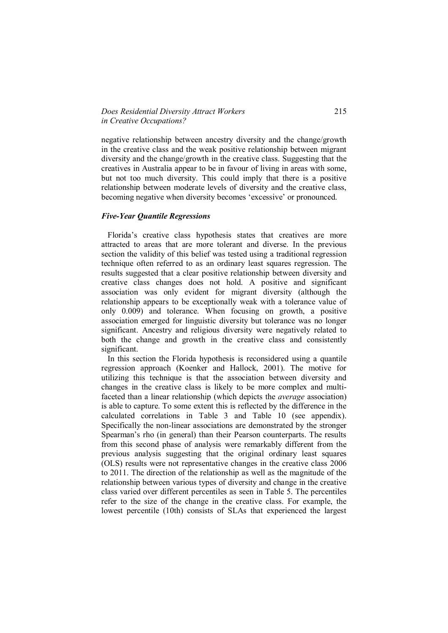## *Does Residential Diversity Attract Workers* 215 *in Creative Occupations?*

negative relationship between ancestry diversity and the change/growth in the creative class and the weak positive relationship between migrant diversity and the change/growth in the creative class. Suggesting that the creatives in Australia appear to be in favour of living in areas with some, but not too much diversity. This could imply that there is a positive relationship between moderate levels of diversity and the creative class, becoming negative when diversity becomes 'excessive' or pronounced.

#### *Five-Year Quantile Regressions*

 Florida's creative class hypothesis states that creatives are more attracted to areas that are more tolerant and diverse. In the previous section the validity of this belief was tested using a traditional regression technique often referred to as an ordinary least squares regression. The results suggested that a clear positive relationship between diversity and creative class changes does not hold. A positive and significant association was only evident for migrant diversity (although the relationship appears to be exceptionally weak with a tolerance value of only 0.009) and tolerance. When focusing on growth, a positive association emerged for linguistic diversity but tolerance was no longer significant. Ancestry and religious diversity were negatively related to both the change and growth in the creative class and consistently significant.

 In this section the Florida hypothesis is reconsidered using a quantile regression approach (Koenker and Hallock, 2001). The motive for utilizing this technique is that the association between diversity and changes in the creative class is likely to be more complex and multifaceted than a linear relationship (which depicts the *average* association) is able to capture. To some extent this is reflected by the difference in the calculated correlations in Table 3 and Table 10 (see appendix). Specifically the non-linear associations are demonstrated by the stronger Spearman's rho (in general) than their Pearson counterparts. The results from this second phase of analysis were remarkably different from the previous analysis suggesting that the original ordinary least squares (OLS) results were not representative changes in the creative class 2006 to 2011. The direction of the relationship as well as the magnitude of the relationship between various types of diversity and change in the creative class varied over different percentiles as seen in Table 5. The percentiles refer to the size of the change in the creative class. For example, the lowest percentile (10th) consists of SLAs that experienced the largest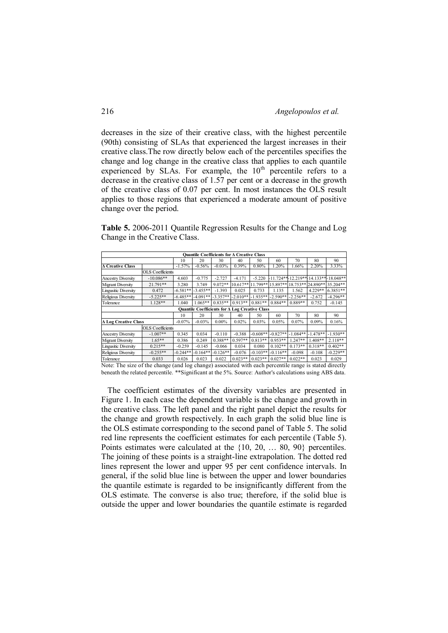decreases in the size of their creative class, with the highest percentile (90th) consisting of SLAs that experienced the largest increases in their creative class.The row directly below each of the percentiles specifies the change and log change in the creative class that applies to each quantile experienced by SLAs. For example, the 10<sup>th</sup> percentile refers to a decrease in the creative class of 1.57 per cent or a decrease in the growth of the creative class of 0.07 per cent. In most instances the OLS result applies to those regions that experienced a moderate amount of positive change over the period.

**Table 5.** 2006-2011 Quantile Regression Results for the Change and Log Change in the Creative Class.

|                                                                                                        |                                                       |            | Quantile Coefficients for A Creative Class |            |            |            |                   |                      |           |                                     |  |  |
|--------------------------------------------------------------------------------------------------------|-------------------------------------------------------|------------|--------------------------------------------|------------|------------|------------|-------------------|----------------------|-----------|-------------------------------------|--|--|
|                                                                                                        |                                                       | 10         | 20                                         | 30         | 40         | 50         | 60                | 70                   | 80        | 90                                  |  |  |
| <b>A Creative Class</b>                                                                                |                                                       | $-1.57%$   | $-0.56%$                                   | $-0.03%$   | 0.39%      | 0.80%      | 1.20%             | 1.66%                | 2.20%     | 3.33%                               |  |  |
|                                                                                                        | <b>OLS</b> Coefficients                               |            |                                            |            |            |            |                   |                      |           |                                     |  |  |
| <b>Ancestry Diversity</b>                                                                              | $-10.086**$                                           | 4.603      | $-0.775$                                   | $-2.727$   | $-4.171$   | $-5.220$   |                   |                      |           | 11.724**-12.219**-14.133**-18.048** |  |  |
| <b>Migrant Diversity</b>                                                                               | $21.791**$                                            | 3.280      | 3.749                                      | $9.072**$  | $10.617**$ |            | 11.799** 15.897** |                      |           | 18.753** 24.890** 35.204**          |  |  |
| <b>Lingusitic Diversity</b>                                                                            | 0.472                                                 | $-6.581**$ | $-3.455**$                                 | $-1.393$   | 0.025      | 0.733      | 1.135             | 1.562                | $4.229**$ | $6.3851**$                          |  |  |
| Religious Diversity                                                                                    | $-5.225**$                                            | $-6.485**$ | $-4.091**$                                 | $-3.357**$ | $-2.010**$ | $-1.935**$ | $-2.590**$        | $-2.256**$           | $-2.672$  | $-4.296**$                          |  |  |
| Tolerance                                                                                              | $1.128**$                                             | 1.040      | $1.065**$                                  | $0.835**$  | $0.913**$  | $0.881**$  | $0.884**$         | $0.889**$            | 0.752     | $-0.145$                            |  |  |
|                                                                                                        | <b>Quantile Coefficients for A Log Creative Class</b> |            |                                            |            |            |            |                   |                      |           |                                     |  |  |
|                                                                                                        |                                                       | 10         | 20                                         | 30         | 40         | 50         | 60                | 70                   | 80        | 90                                  |  |  |
| <b>A Log Creative Class</b>                                                                            |                                                       | $-0.07%$   | $-0.03%$                                   | $0.00\%$   | 0.02%      | 0.03%      | 0.05%             | 0.07%                | 0.09%     | 0.16%                               |  |  |
|                                                                                                        | <b>OLS</b> Coefficients                               |            |                                            |            |            |            |                   |                      |           |                                     |  |  |
| <b>Ancestry Diversity</b>                                                                              | $-1.007**$                                            | 0.345      | 0.034                                      | $-0.110$   | $-0.388$   | $-0.608**$ | $-0.827**$        | $-1.084** - 1.478**$ |           | $-1.930**$                          |  |  |
| <b>Migrant Diversity</b>                                                                               | $1.65**$                                              | 0.386      | 0.249                                      | $0.388**$  | $0.597**$  | $0.813**$  | $0.953**$         | $1247**$             | $1.408**$ | $2.118**$                           |  |  |
| <b>Lingusitic Diversity</b>                                                                            | $0.215**$                                             | $-0.259$   | $-0.145$                                   | $-0.066$   | 0.034      | 0.080      | $0.102**$         | $0.173**$            | $0.318**$ | $0.402**$                           |  |  |
| Religious Diversity                                                                                    | $-0.255**$                                            | $-0.244**$ | $-0.164**$                                 | $-0.126**$ | $-0.076$   | $-0.103**$ | $-0.116**$        | $-0.098$             | $-0.108$  | $-0.229**$                          |  |  |
| Tolerance                                                                                              | 0.033                                                 | 0.026      | 0.023                                      | 0.022      | $0.023**$  | $0.023**$  | $0.027**$         | $0.022**$            | 0.023     | 0.029                               |  |  |
| Note: The size of the change (and log change) associated with each percentile range is stated directly |                                                       |            |                                            |            |            |            |                   |                      |           |                                     |  |  |

beneath the related percentile. \*\*Significant at the 5%. Source: Author's calculations using ABS data.

 The coefficient estimates of the diversity variables are presented in Figure 1. In each case the dependent variable is the change and growth in the creative class. The left panel and the right panel depict the results for the change and growth respectively. In each graph the solid blue line is the OLS estimate corresponding to the second panel of Table 5. The solid red line represents the coefficient estimates for each percentile (Table 5). Points estimates were calculated at the {10, 20, … 80, 90} percentiles. The joining of these points is a straight-line extrapolation. The dotted red lines represent the lower and upper 95 per cent confidence intervals. In general, if the solid blue line is between the upper and lower boundaries the quantile estimate is regarded to be insignificantly different from the OLS estimate. The converse is also true; therefore, if the solid blue is outside the upper and lower boundaries the quantile estimate is regarded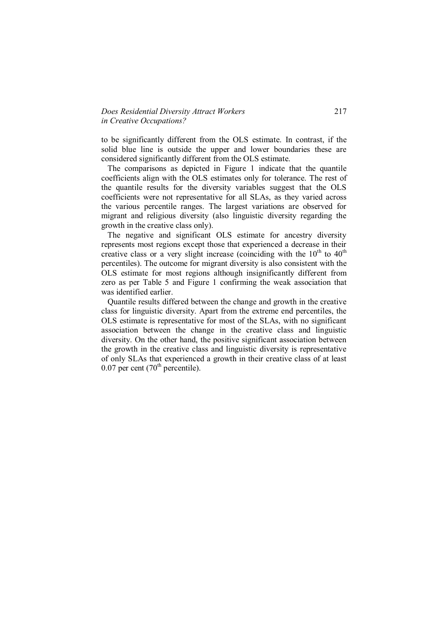## *Does Residential Diversity Attract Workers* 217 *in Creative Occupations?*

to be significantly different from the OLS estimate. In contrast, if the solid blue line is outside the upper and lower boundaries these are considered significantly different from the OLS estimate.

 The comparisons as depicted in Figure 1 indicate that the quantile coefficients align with the OLS estimates only for tolerance. The rest of the quantile results for the diversity variables suggest that the OLS coefficients were not representative for all SLAs, as they varied across the various percentile ranges. The largest variations are observed for migrant and religious diversity (also linguistic diversity regarding the growth in the creative class only).

 The negative and significant OLS estimate for ancestry diversity represents most regions except those that experienced a decrease in their creative class or a very slight increase (coinciding with the  $10<sup>th</sup>$  to  $40<sup>th</sup>$ percentiles). The outcome for migrant diversity is also consistent with the OLS estimate for most regions although insignificantly different from zero as per Table 5 and Figure 1 confirming the weak association that was identified earlier.

 Quantile results differed between the change and growth in the creative class for linguistic diversity. Apart from the extreme end percentiles, the OLS estimate is representative for most of the SLAs, with no significant association between the change in the creative class and linguistic diversity. On the other hand, the positive significant association between the growth in the creative class and linguistic diversity is representative of only SLAs that experienced a growth in their creative class of at least  $0.07$  per cent (70<sup>th</sup> percentile).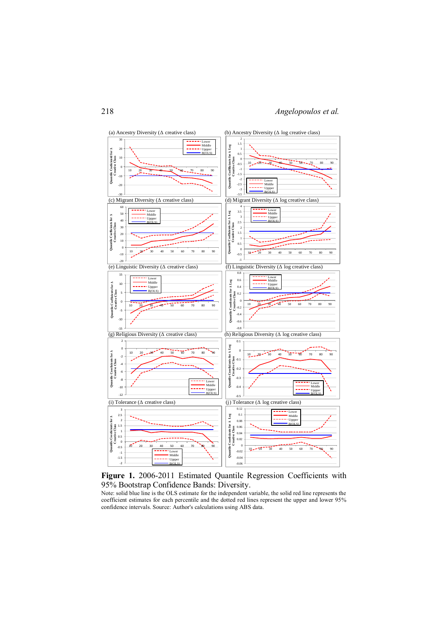



Note: solid blue line is the OLS estimate for the independent variable, the solid red line represents the coefficient estimates for each percentile and the dotted red lines represent the upper and lower 95% confidence intervals. Source: Author's calculations using ABS data.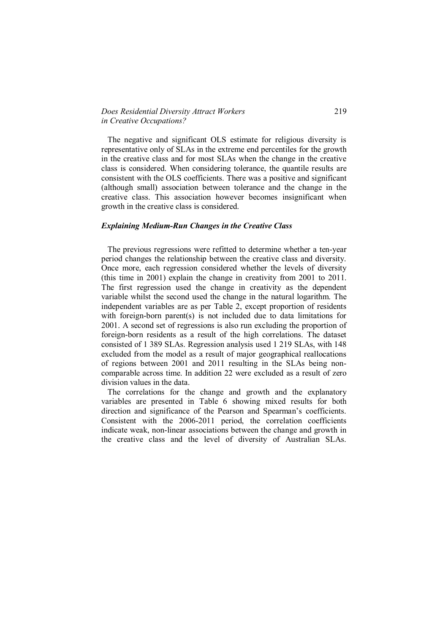## *Does Residential Diversity Attract Workers* 219 *in Creative Occupations?*

 The negative and significant OLS estimate for religious diversity is representative only of SLAs in the extreme end percentiles for the growth in the creative class and for most SLAs when the change in the creative class is considered. When considering tolerance, the quantile results are consistent with the OLS coefficients. There was a positive and significant (although small) association between tolerance and the change in the creative class. This association however becomes insignificant when growth in the creative class is considered.

#### *Explaining Medium-Run Changes in the Creative Class*

 The previous regressions were refitted to determine whether a ten-year period changes the relationship between the creative class and diversity. Once more, each regression considered whether the levels of diversity (this time in 2001) explain the change in creativity from 2001 to 2011. The first regression used the change in creativity as the dependent variable whilst the second used the change in the natural logarithm. The independent variables are as per Table 2, except proportion of residents with foreign-born parent(s) is not included due to data limitations for 2001. A second set of regressions is also run excluding the proportion of foreign-born residents as a result of the high correlations. The dataset consisted of 1 389 SLAs. Regression analysis used 1 219 SLAs, with 148 excluded from the model as a result of major geographical reallocations of regions between 2001 and 2011 resulting in the SLAs being noncomparable across time. In addition 22 were excluded as a result of zero division values in the data.

 The correlations for the change and growth and the explanatory variables are presented in Table 6 showing mixed results for both direction and significance of the Pearson and Spearman's coefficients. Consistent with the 2006-2011 period, the correlation coefficients indicate weak, non-linear associations between the change and growth in the creative class and the level of diversity of Australian SLAs.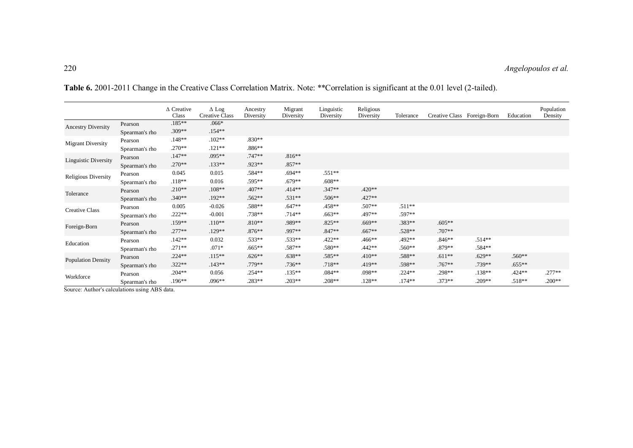|                             |                | $\Delta$ Creative<br>Class | $\Delta$ Log<br>Creative Class | Ancestry<br>Diversity | Migrant<br>Diversity | Linguistic<br>Diversity | Religious<br>Diversity | Tolerance | Creative Class Foreign-Born |          | Education | Population<br>Density |
|-----------------------------|----------------|----------------------------|--------------------------------|-----------------------|----------------------|-------------------------|------------------------|-----------|-----------------------------|----------|-----------|-----------------------|
| <b>Ancestry Diversity</b>   | Pearson        | $.185**$                   | $.066*$                        |                       |                      |                         |                        |           |                             |          |           |                       |
|                             | Spearman's rho | .309**                     | $.154**$                       |                       |                      |                         |                        |           |                             |          |           |                       |
| <b>Migrant Diversity</b>    | Pearson        | $.148**$                   | $.102**$                       | .830**                |                      |                         |                        |           |                             |          |           |                       |
|                             | Spearman's rho | $.270**$                   | $.121**$                       | $.886**$              |                      |                         |                        |           |                             |          |           |                       |
| <b>Linguistic Diversity</b> | Pearson        | $.147**$                   | .095**                         | .747**                | $.816**$             |                         |                        |           |                             |          |           |                       |
|                             | Spearman's rho | $.270**$                   | $.133**$                       | .923**                | $.857**$             |                         |                        |           |                             |          |           |                       |
|                             | Pearson        | 0.045                      | 0.015                          | .584**                | $.694**$             | $.551**$                |                        |           |                             |          |           |                       |
| <b>Religious Diversity</b>  | Spearman's rho | $.118**$                   | 0.016                          | .595**                | $.679**$             | $.608**$                |                        |           |                             |          |           |                       |
|                             | Pearson        | $.210**$                   | $.108**$                       | .407**                | $.414**$             | .347**                  | .420**                 |           |                             |          |           |                       |
| Tolerance                   | Spearman's rho | $.340**$                   | .192**                         | .562**                | $.531**$             | .506**                  | .427**                 |           |                             |          |           |                       |
| <b>Creative Class</b>       | Pearson        | 0.005                      | $-0.026$                       | .588**                | $.647**$             | .458**                  | .507**                 | $.511**$  |                             |          |           |                       |
|                             | Spearman's rho | $.222**$                   | $-0.001$                       | .738**                | $.714**$             | $.663**$                | .497**                 | .597**    |                             |          |           |                       |
|                             | Pearson        | .159**                     | $.110**$                       | $.810**$              | .989**               | .825**                  | .669**                 | .383**    | $.605**$                    |          |           |                       |
| Foreign-Born                | Spearman's rho | $.277**$                   | $.129**$                       | $.876**$              | .997**               | .847**                  | .667**                 | $.528**$  | $.707**$                    |          |           |                       |
| Education                   | Pearson        | $.142**$                   | 0.032                          | .533**                | .533**               | .422**                  | .466**                 | .492**    | $.846**$                    | $.514**$ |           |                       |
|                             | Spearman's rho | $.271**$                   | $.071*$                        | $.665**$              | .587**               | .580**                  | .442**                 | .560**    | .879**                      | .584**   |           |                       |
| <b>Population Density</b>   | Pearson        | $.224**$                   | $.115**$                       | $.626**$              | $.638**$             | .585**                  | $.410**$               | .588**    | $.611**$                    | $.629**$ | .560**    |                       |
|                             | Spearman's rho | $.322**$                   | $.143**$                       | .779**                | $.736**$             | $.718**$                | $.419**$               | .598**    | $.767**$                    | .739**   | $.655**$  |                       |
|                             | Pearson        | $.204**$                   | 0.056                          | .254**                | $.135***$            | .084**                  | .098**                 | $.224**$  | .298**                      | $.138**$ | .424**    | .277**                |
| Workforce                   | Spearman's rho | .196**                     | $.096**$                       | .283**                | .203**               | .208**                  | .128**                 | $.174**$  | $.373**$                    | .209**   | .518**    | $.200**$              |

**Table 6.** 2001-2011 Change in the Creative Class Correlation Matrix. Note: \*\*Correlation is significant at the 0.01 level (2-tailed).

Source: Author's calculations using ABS data.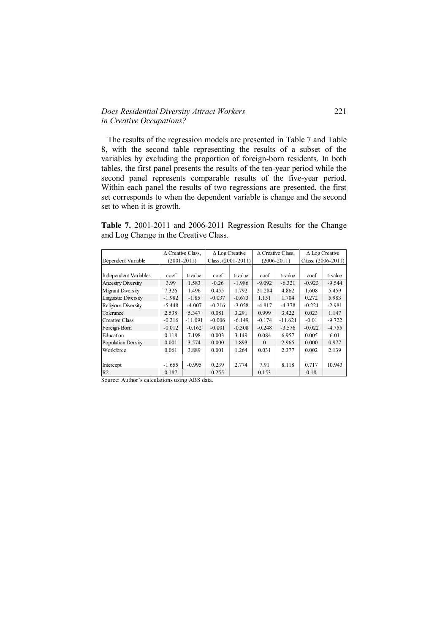## *Does Residential Diversity Attract Workers* 221 *in Creative Occupations?*

 The results of the regression models are presented in Table 7 and Table 8, with the second table representing the results of a subset of the variables by excluding the proportion of foreign-born residents. In both tables, the first panel presents the results of the ten-year period while the second panel represents comparable results of the five-year period. Within each panel the results of two regressions are presented, the first set corresponds to when the dependent variable is change and the second set to when it is growth.

**Table 7.** 2001-2011 and 2006-2011 Regression Results for the Change and Log Change in the Creative Class.

|                              |          | $\Delta$ Creative Class, |          | $\Delta$ Log Creative |                 | $\Delta$ Creative Class, | $\Delta$ Log Creative |                      |  |
|------------------------------|----------|--------------------------|----------|-----------------------|-----------------|--------------------------|-----------------------|----------------------|--|
| Dependent Variable           |          | $(2001 - 2011)$          |          | Class, $(2001-2011)$  | $(2006 - 2011)$ |                          |                       | Class, $(2006-2011)$ |  |
|                              |          |                          |          |                       |                 |                          |                       |                      |  |
| <b>Independent Variables</b> | coef     | t-value                  | coef     | t-value               | coef            | t-value                  | coef                  | t-value              |  |
| <b>Ancestry Diversity</b>    | 3.99     | 1.583                    | $-0.26$  | $-1.986$              | $-9.092$        | $-6.321$                 | $-0.923$              | $-9.544$             |  |
| <b>Migrant Diversity</b>     | 7.326    | 1.496                    | 0.455    | 1.792                 | 21.284          | 4.862                    | 1.608                 | 5.459                |  |
| <b>Linguistic Diversity</b>  | $-1.982$ | $-1.85$                  | $-0.037$ | $-0.673$              | 1.151           | 1.704                    | 0.272                 | 5.983                |  |
| Religious Diversity          | $-5.448$ | $-4.007$                 | $-0.216$ | $-3.058$              | $-4.817$        | $-4.378$                 | $-0.221$              | $-2.981$             |  |
| Tolerance                    | 2.538    | 5.347                    | 0.081    | 3.291                 | 0.999           | 3.422                    | 0.023                 | 1.147                |  |
| <b>Creative Class</b>        | $-0.216$ | $-11.091$                | $-0.006$ | $-6.149$              | $-0.174$        | $-11.621$                | $-0.01$               | $-9.722$             |  |
| Foreign-Born                 | $-0.012$ | $-0.162$                 | $-0.001$ | $-0.308$              | $-0.248$        | $-3.576$                 | $-0.022$              | $-4.755$             |  |
| Education                    | 0.118    | 7.198                    | 0.003    | 3.149                 | 0.084           | 6.957                    | 0.005                 | 6.01                 |  |
| <b>Population Density</b>    | 0.001    | 3.574                    | 0.000    | 1.893                 | $\Omega$        | 2.965                    | 0.000                 | 0.977                |  |
| Workforce                    | 0.061    | 3.889                    | 0.001    | 1.264                 | 0.031           | 2.377                    | 0.002                 | 2.139                |  |
|                              |          |                          |          |                       |                 |                          |                       |                      |  |
| Intercept                    | $-1.655$ | $-0.995$                 | 0.239    | 2.774                 | 7.91            | 8.118                    | 0.717                 | 10.943               |  |
| R2                           | 0.187    |                          | 0.255    |                       | 0.153           |                          | 0.18                  |                      |  |

Source: Author's calculations using ABS data.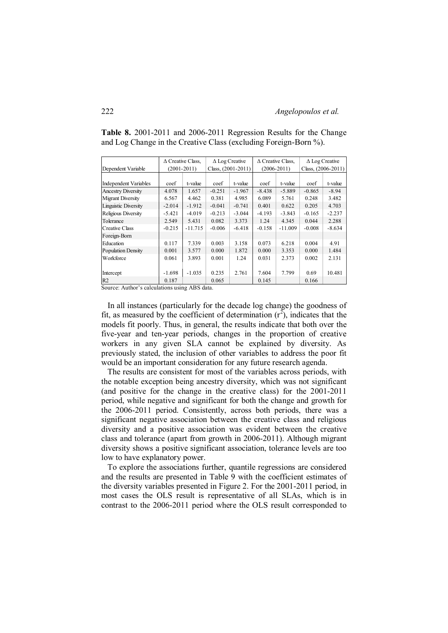|                              |          | $\Delta$ Creative Class, |          | $\Delta$ Log Creative |          | $\Delta$ Creative Class, | $\Delta$ Log Creative |          |  |
|------------------------------|----------|--------------------------|----------|-----------------------|----------|--------------------------|-----------------------|----------|--|
| Dependent Variable           |          | $(2001 - 2011)$          |          | Class, $(2001-2011)$  |          | $(2006 - 2011)$          | Class, $(2006-2011)$  |          |  |
|                              |          |                          |          |                       |          |                          |                       |          |  |
| <b>Independent Variables</b> | coef     | t-value                  | coef     | t-value               | coef     | t-value                  | coef                  | t-value  |  |
| <b>Ancestry Diversity</b>    | 4.078    | 1.657                    | $-0.251$ | $-1.967$              | $-8.438$ | $-5.889$                 | $-0.865$              | $-8.94$  |  |
| <b>Migrant Diversity</b>     | 6.567    | 4.462                    | 0.381    | 4.985                 | 6.089    | 5.761                    | 0.248                 | 3.482    |  |
| <b>Linguistic Diversity</b>  | $-2.014$ | $-1.912$                 | $-0.041$ | $-0.741$              | 0.401    | 0.622                    | 0.205                 | 4.703    |  |
| Religious Diversity          | $-5.421$ | $-4.019$                 | $-0.213$ | $-3.044$              | $-4.193$ | $-3.843$                 | $-0.165$              | $-2.237$ |  |
| Tolerance                    | 2.549    | 5.431                    | 0.082    | 3.373                 | 1.24     | 4.345                    | 0.044                 | 2.288    |  |
| <b>Creative Class</b>        | $-0.215$ | $-11.715$                | $-0.006$ | $-6.418$              | $-0.158$ | $-11.009$                | $-0.008$              | $-8.634$ |  |
| Foreign-Born                 |          |                          |          |                       |          |                          |                       |          |  |
| Education                    | 0.117    | 7.339                    | 0.003    | 3.158                 | 0.073    | 6.218                    | 0.004                 | 4.91     |  |
| <b>Population Density</b>    | 0.001    | 3.577                    | 0.000    | 1.872                 | 0.000    | 3.353                    | 0.000                 | 1.484    |  |
| Workforce                    | 0.061    | 3.893                    | 0.001    | 1.24                  | 0.031    | 2.373                    | 0.002                 | 2.131    |  |
|                              |          |                          |          |                       |          |                          |                       |          |  |
| Intercept                    | $-1.698$ | $-1.035$                 | 0.235    | 2.761                 | 7.604    | 7.799                    | 0.69                  | 10.481   |  |
| R2                           | 0.187    |                          | 0.065    |                       | 0.145    |                          | 0.166                 |          |  |

**Table 8.** 2001-2011 and 2006-2011 Regression Results for the Change and Log Change in the Creative Class (excluding Foreign-Born %).

Source: Author's calculations using ABS data.

 In all instances (particularly for the decade log change) the goodness of fit, as measured by the coefficient of determination  $(r^2)$ , indicates that the models fit poorly. Thus, in general, the results indicate that both over the five-year and ten-year periods, changes in the proportion of creative workers in any given SLA cannot be explained by diversity. As previously stated, the inclusion of other variables to address the poor fit would be an important consideration for any future research agenda.

 The results are consistent for most of the variables across periods, with the notable exception being ancestry diversity, which was not significant (and positive for the change in the creative class) for the 2001-2011 period, while negative and significant for both the change and growth for the 2006-2011 period. Consistently, across both periods, there was a significant negative association between the creative class and religious diversity and a positive association was evident between the creative class and tolerance (apart from growth in 2006-2011). Although migrant diversity shows a positive significant association, tolerance levels are too low to have explanatory power.

 To explore the associations further, quantile regressions are considered and the results are presented in Table 9 with the coefficient estimates of the diversity variables presented in Figure 2. For the 2001-2011 period, in most cases the OLS result is representative of all SLAs, which is in contrast to the 2006-2011 period where the OLS result corresponded to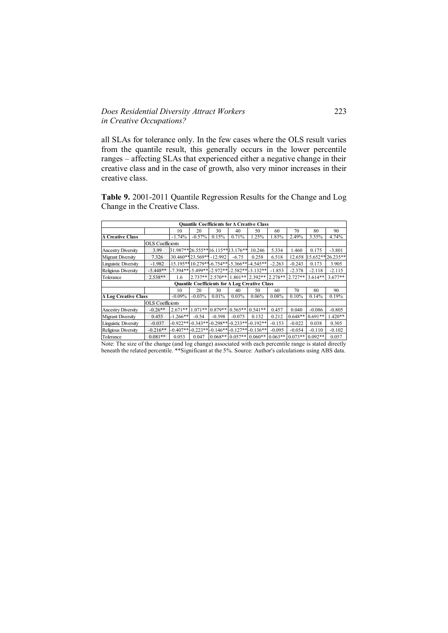# *Does Residential Diversity Attract Workers* 223 *in Creative Occupations?*

all SLAs for tolerance only. In the few cases where the OLS result varies from the quantile result, this generally occurs in the lower percentile ranges – affecting SLAs that experienced either a negative change in their creative class and in the case of growth, also very minor increases in their creative class.

**Table 9.** 2001-2011 Quantile Regression Results for the Change and Log Change in the Creative Class.

|                             |                         |                                  |                         |           |           | Ouantile Coefficients for ∆ Creative Class             |           |           |           |                   |
|-----------------------------|-------------------------|----------------------------------|-------------------------|-----------|-----------|--------------------------------------------------------|-----------|-----------|-----------|-------------------|
|                             |                         | 10                               | 20                      | 30        | 40        | 50                                                     | 60        | 70        | 80        | 90                |
| <b>A Creative Class</b>     |                         | $-1.74%$                         | $-0.57%$                | 0.15%     | 0.71%     | 1.25%                                                  | 1.83%     | 2.49%     | 3.35%     | 4.74%             |
| <b>OLS</b> Coefficients     |                         |                                  |                         |           |           |                                                        |           |           |           |                   |
| <b>Ancestry Diversity</b>   | 3.99                    | 31.987**26.555**16.115**13.176** |                         |           |           | 10.246                                                 | 5.334     | 1.460     | 0.175     | $-3.801$          |
| <b>Migrant Diversity</b>    | 7.326                   |                                  | 30.460**23.569**-12.992 |           | $-6.75$   | 0.258                                                  | 6.518     | 12.658    |           | 15.652** 26.235** |
| Linguistic Diversity        | $-1.982$                |                                  |                         |           |           | 15.195**10.279**-6.754**-5.366**-4.545**               | $-2.263$  | $-0.243$  | 0.173     | 3.905             |
| Religious Diversity         | $-5.448**$              |                                  |                         |           |           | $-7.394***-5.499***-2.972***-2.582***-3.132***$        | $-1.853$  | $-2.378$  | $-2.118$  | $-2.115$          |
| Tolerance                   | $2.538**$               | 1.6                              | $2.737**$               | $2.570**$ | $1.801**$ | $2.392**$                                              | $2.278**$ | $2.727**$ | $3.614**$ | $3.677**$         |
|                             |                         |                                  |                         |           |           | Quantile Coefficients for A Log Creative Class         |           |           |           |                   |
|                             |                         | 10                               | 20                      | 30        | 40        | 50                                                     | 60        | 70        | 80        | 90                |
| <b>A Log Creative Class</b> |                         | $-0.09%$                         | $-0.03%$                | 0.01%     | 0.03%     | 0.06%                                                  | 0.08%     | 0.10%     | 0.14%     | 0.19%             |
|                             | <b>OLS</b> Coefficients |                                  |                         |           |           |                                                        |           |           |           |                   |
| <b>Ancestry Diversity</b>   | $-0.26**$               | $2.671**$                        | $1.071**$               | $0.879**$ | $0.565**$ | $0.541**$                                              | 0.457     | 0.040     | $-0.086$  | $-0.805$          |
| <b>Migrant Diversity</b>    | 0.455                   | $-1.266**$                       | $-0.54$                 | $-0.398$  | $-0.075$  | 0.132                                                  | 0.212     | $0.648**$ | $0.691**$ | $1.420**$         |
| Linguistic Diversity        | $-0.037$                |                                  |                         |           |           | $-0.922**$ $-0.343**$ $-0.298**$ $-0.233**$ $-0.192**$ | $-0.153$  | $-0.022$  | 0.038     | 0.305             |
| Religious Diversity         | $-0.216**$              |                                  |                         |           |           | $-0.407**$ $-0.223**$ $-0.146**$ $-0.127**$ $-0.136**$ | $-0.095$  | $-0.054$  | $-0.110$  | $-0.102$          |
| Tolerance                   | $0.081**$               | 0.053                            | 0.047                   | $0.068**$ | $0.057**$ | $0.060**$                                              | $0.063**$ | $0.073**$ | $0.092**$ | 0.057             |

Note: The size of the change (and log change) associated with each percentile range is stated directly beneath the related percentile. \*\*Significant at the 5%. Source: Author's calculations using ABS data.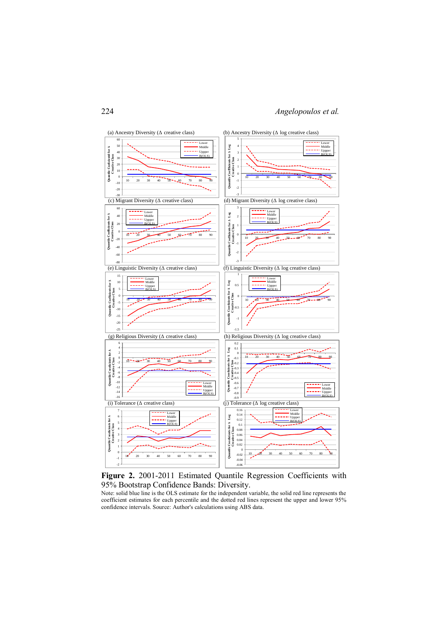



Note: solid blue line is the OLS estimate for the independent variable, the solid red line represents the coefficient estimates for each percentile and the dotted red lines represent the upper and lower 95% confidence intervals. Source: Author's calculations using ABS data.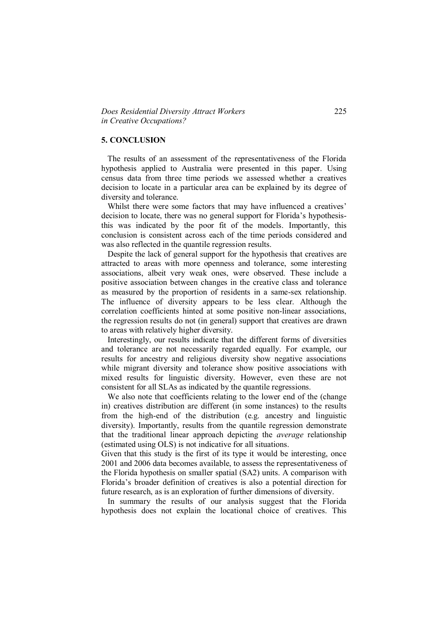#### **5. CONCLUSION**

 The results of an assessment of the representativeness of the Florida hypothesis applied to Australia were presented in this paper. Using census data from three time periods we assessed whether a creatives decision to locate in a particular area can be explained by its degree of diversity and tolerance.

 Whilst there were some factors that may have influenced a creatives' decision to locate, there was no general support for Florida's hypothesisthis was indicated by the poor fit of the models. Importantly, this conclusion is consistent across each of the time periods considered and was also reflected in the quantile regression results.

 Despite the lack of general support for the hypothesis that creatives are attracted to areas with more openness and tolerance, some interesting associations, albeit very weak ones, were observed. These include a positive association between changes in the creative class and tolerance as measured by the proportion of residents in a same-sex relationship. The influence of diversity appears to be less clear. Although the correlation coefficients hinted at some positive non-linear associations, the regression results do not (in general) support that creatives are drawn to areas with relatively higher diversity.

 Interestingly, our results indicate that the different forms of diversities and tolerance are not necessarily regarded equally. For example, our results for ancestry and religious diversity show negative associations while migrant diversity and tolerance show positive associations with mixed results for linguistic diversity. However, even these are not consistent for all SLAs as indicated by the quantile regressions.

 We also note that coefficients relating to the lower end of the (change in) creatives distribution are different (in some instances) to the results from the high-end of the distribution (e.g. ancestry and linguistic diversity). Importantly, results from the quantile regression demonstrate that the traditional linear approach depicting the *average* relationship (estimated using OLS) is not indicative for all situations.

Given that this study is the first of its type it would be interesting, once 2001 and 2006 data becomes available, to assess the representativeness of the Florida hypothesis on smaller spatial (SA2) units. A comparison with Florida's broader definition of creatives is also a potential direction for future research, as is an exploration of further dimensions of diversity.

 In summary the results of our analysis suggest that the Florida hypothesis does not explain the locational choice of creatives. This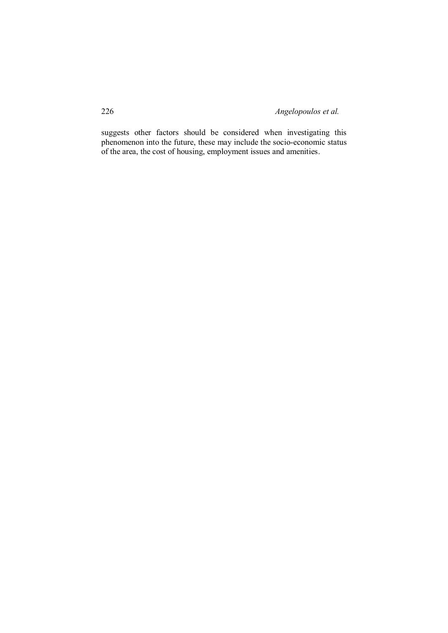suggests other factors should be considered when investigating this phenomenon into the future, these may include the socio-economic status of the area, the cost of housing, employment issues and amenities.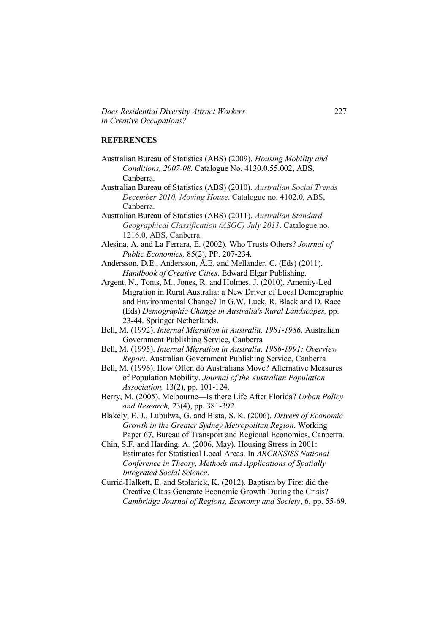*Does Residential Diversity Attract Workers* 227 *in Creative Occupations?*

#### **REFERENCES**

- Australian Bureau of Statistics (ABS) (2009). *Housing Mobility and Conditions, 2007-08*. Catalogue No. 4130.0.55.002, ABS, Canberra.
- Australian Bureau of Statistics (ABS) (2010). *Australian Social Trends December 2010, Moving House*. Catalogue no. 4102.0, ABS, Canberra.
- Australian Bureau of Statistics (ABS) (2011). *Australian Standard Geographical Classification (ASGC) July 2011*. Catalogue no. 1216.0, ABS, Canberra.
- Alesina, A. and La Ferrara, E. (2002). Who Trusts Others? *Journal of Public Economics,* 85(2), PP. 207-234.
- Andersson, D.E., Andersson, Å.E. and Mellander, C. (Eds) (2011). *Handbook of Creative Cities*. Edward Elgar Publishing.
- Argent, N., Tonts, M., Jones, R. and Holmes, J. (2010). Amenity-Led Migration in Rural Australia: a New Driver of Local Demographic and Environmental Change? In G.W. Luck, R. Black and D. Race (Eds) *Demographic Change in Australia's Rural Landscapes,* pp. 23-44. Springer Netherlands.
- Bell, M. (1992). *Internal Migration in Australia, 1981-1986*. Australian Government Publishing Service, Canberra
- Bell, M. (1995). *Internal Migration in Australia, 1986-1991: Overview Report*. Australian Government Publishing Service, Canberra
- Bell, M. (1996). How Often do Australians Move? Alternative Measures of Population Mobility. *Journal of the Australian Population Association,* 13(2), pp. 101-124.
- Berry, M. (2005). Melbourne—Is there Life After Florida? *Urban Policy and Research,* 23(4), pp. 381-392.
- Blakely, E. J., Lubulwa, G. and Bista, S. K. (2006). *Drivers of Economic Growth in the Greater Sydney Metropolitan Region*. Working Paper 67, Bureau of Transport and Regional Economics, Canberra.
- Chin, S.F. and Harding, A. (2006, May). Housing Stress in 2001: Estimates for Statistical Local Areas. In *ARCRNSISS National Conference in Theory, Methods and Applications of Spatially Integrated Social Science*.
- Currid-Halkett, E. and Stolarick, K. (2012). Baptism by Fire: did the Creative Class Generate Economic Growth During the Crisis? *Cambridge Journal of Regions, Economy and Society*, 6, pp. 55-69.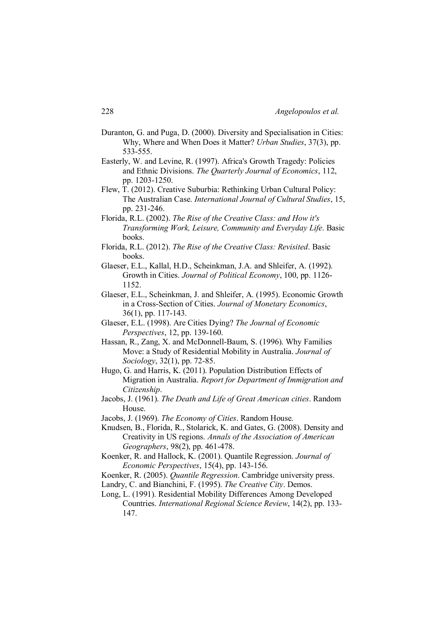- Duranton, G. and Puga, D. (2000). Diversity and Specialisation in Cities: Why, Where and When Does it Matter? *Urban Studies*, 37(3), pp. 533-555.
- Easterly, W. and Levine, R. (1997). Africa's Growth Tragedy: Policies and Ethnic Divisions. *The Quarterly Journal of Economics*, 112, pp. 1203-1250.
- Flew, T. (2012). Creative Suburbia: Rethinking Urban Cultural Policy: The Australian Case. *International Journal of Cultural Studies*, 15, pp. 231-246.
- Florida, R.L. (2002). *The Rise of the Creative Class: and How it's Transforming Work, Leisure, Community and Everyday Life*. Basic books.
- Florida, R.L. (2012). *The Rise of the Creative Class: Revisited*. Basic books.
- Glaeser, E.L., Kallal, H.D., Scheinkman, J.A. and Shleifer, A. (1992). Growth in Cities. *Journal of Political Economy*, 100, pp. 1126- 1152.
- Glaeser, E.L., Scheinkman, J. and Shleifer, A. (1995). Economic Growth in a Cross-Section of Cities. *Journal of Monetary Economics*, 36(1), pp. 117-143.
- Glaeser, E.L. (1998). Are Cities Dying? *The Journal of Economic Perspectives*, 12, pp. 139-160.
- Hassan, R., Zang, X. and McDonnell-Baum, S. (1996). Why Families Move: a Study of Residential Mobility in Australia. *Journal of Sociology*, 32(1), pp. 72-85.
- Hugo, G. and Harris, K. (2011). Population Distribution Effects of Migration in Australia. *Report for Department of Immigration and Citizenship*.
- Jacobs, J. (1961). *The Death and Life of Great American cities*. Random House.
- Jacobs, J. (1969). *The Economy of Cities*. Random House.
- Knudsen, B., Florida, R., Stolarick, K. and Gates, G. (2008). Density and Creativity in US regions. *Annals of the Association of American Geographers*, 98(2), pp. 461-478.
- Koenker, R. and Hallock, K. (2001). Quantile Regression. *Journal of Economic Perspectives*, 15(4), pp. 143-156.
- Koenker, R. (2005). *Quantile Regression*. Cambridge university press.
- Landry, C. and Bianchini, F. (1995). *The Creative City*. Demos.
- Long, L. (1991). Residential Mobility Differences Among Developed Countries. *International Regional Science Review*, 14(2), pp. 133- 147.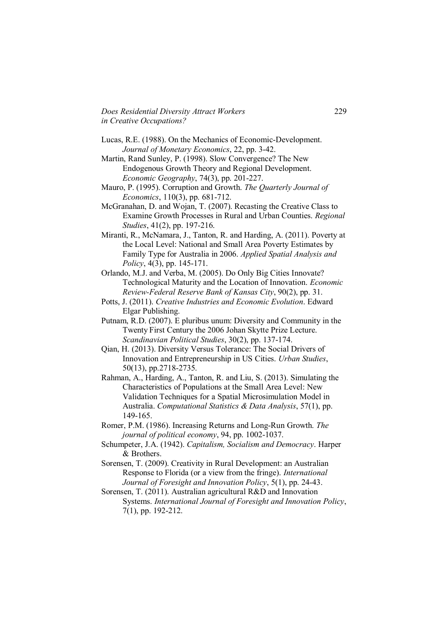*Does Residential Diversity Attract Workers* 229 *in Creative Occupations?*

- Lucas, R.E. (1988). On the Mechanics of Economic-Development. *Journal of Monetary Economics*, 22, pp. 3-42.
- Martin, Rand Sunley, P. (1998). Slow Convergence? The New Endogenous Growth Theory and Regional Development. *Economic Geography*, 74(3), pp. 201-227.
- Mauro, P. (1995). Corruption and Growth. *The Quarterly Journal of Economics*, 110(3), pp. 681-712.
- McGranahan, D. and Wojan, T. (2007). Recasting the Creative Class to Examine Growth Processes in Rural and Urban Counties. *Regional Studies*, 41(2), pp. 197-216.
- Miranti, R., McNamara, J., Tanton, R. and Harding, A. (2011). Poverty at the Local Level: National and Small Area Poverty Estimates by Family Type for Australia in 2006. *Applied Spatial Analysis and Policy*, 4(3), pp. 145-171.
- Orlando, M.J. and Verba, M. (2005). Do Only Big Cities Innovate? Technological Maturity and the Location of Innovation. *Economic Review-Federal Reserve Bank of Kansas City*, 90(2), pp. 31.
- Potts, J. (2011). *Creative Industries and Economic Evolution*. Edward Elgar Publishing.
- Putnam, R.D. (2007). E pluribus unum: Diversity and Community in the Twenty First Century the 2006 Johan Skytte Prize Lecture. *Scandinavian Political Studies*, 30(2), pp. 137-174.
- Qian, H. (2013). Diversity Versus Tolerance: The Social Drivers of Innovation and Entrepreneurship in US Cities. *Urban Studies*, 50(13), pp.2718-2735.
- Rahman, A., Harding, A., Tanton, R. and Liu, S. (2013). Simulating the Characteristics of Populations at the Small Area Level: New Validation Techniques for a Spatial Microsimulation Model in Australia. *Computational Statistics & Data Analysis*, 57(1), pp. 149-165.
- Romer, P.M. (1986). Increasing Returns and Long-Run Growth. *The journal of political economy*, 94, pp. 1002-1037.
- Schumpeter, J.A. (1942). *Capitalism, Socialism and Democracy*. Harper & Brothers.
- Sorensen, T. (2009). Creativity in Rural Development: an Australian Response to Florida (or a view from the fringe). *International Journal of Foresight and Innovation Policy*, 5(1), pp. 24-43.
- Sorensen, T. (2011). Australian agricultural R&D and Innovation Systems. *International Journal of Foresight and Innovation Policy*, 7(1), pp. 192-212.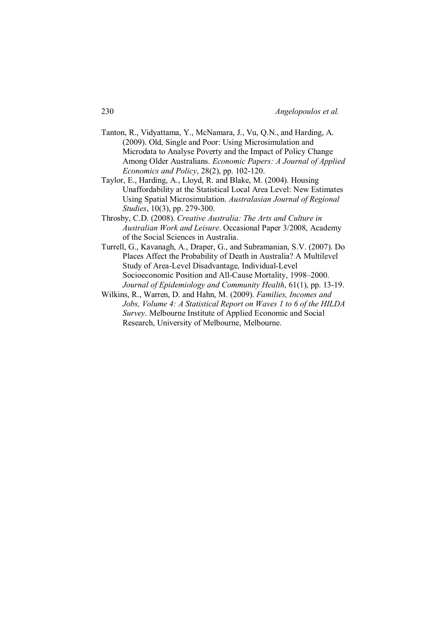- Tanton, R., Vidyattama, Y., McNamara, J., Vu, Q.N., and Harding, A. (2009). Old, Single and Poor: Using Microsimulation and Microdata to Analyse Poverty and the Impact of Policy Change Among Older Australians. *Economic Papers: A Journal of Applied Economics and Policy*, 28(2), pp. 102-120.
- Taylor, E., Harding, A., Lloyd, R. and Blake, M. (2004). Housing Unaffordability at the Statistical Local Area Level: New Estimates Using Spatial Microsimulation. *Australasian Journal of Regional Studies*, 10(3), pp. 279-300.
- Throsby, C.D. (2008). *Creative Australia: The Arts and Culture in Australian Work and Leisure*. Occasional Paper 3/2008, Academy of the Social Sciences in Australia.
- Turrell, G., Kavanagh, A., Draper, G., and Subramanian, S.V. (2007). Do Places Affect the Probability of Death in Australia? A Multilevel Study of Area-Level Disadvantage, Individual-Level Socioeconomic Position and All-Cause Mortality, 1998–2000. *Journal of Epidemiology and Community Health*, 61(1), pp. 13-19.
- Wilkins, R., Warren, D. and Hahn, M. (2009). *Families, Incomes and Jobs, Volume 4: A Statistical Report on Waves 1 to 6 of the HILDA Survey*. Melbourne Institute of Applied Economic and Social Research, University of Melbourne, Melbourne.